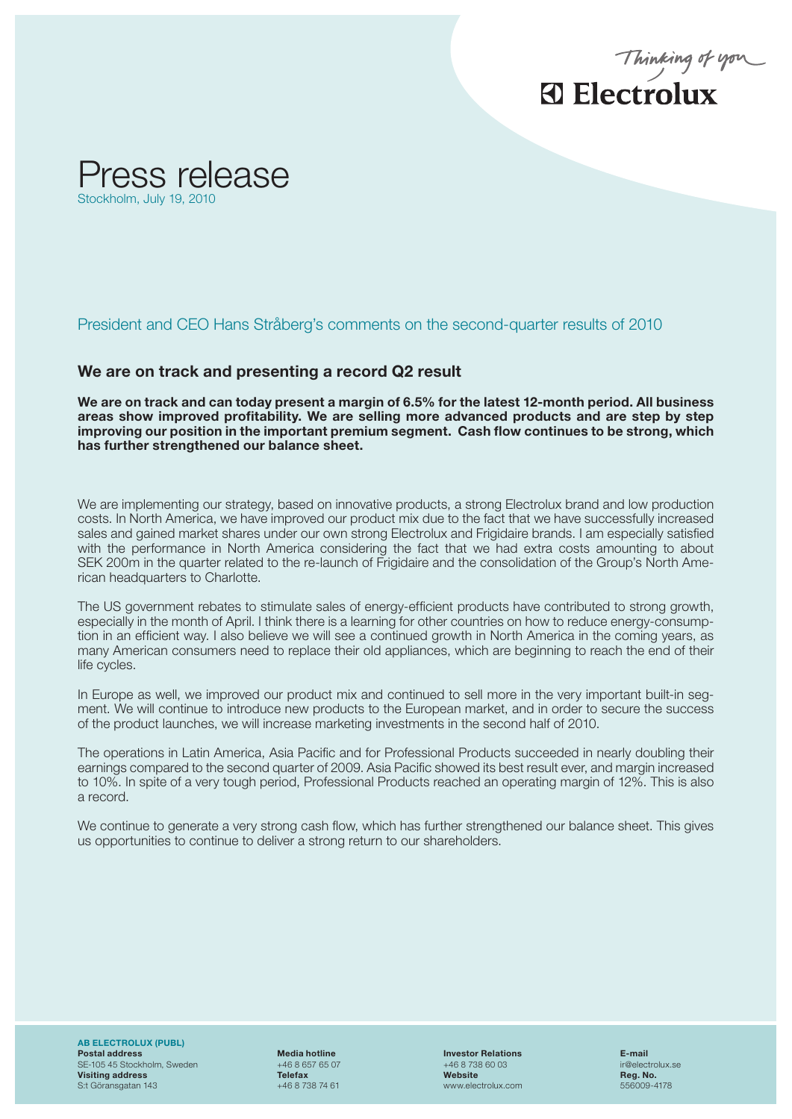



President and CEO Hans Stråberg's comments on the second-quarter results of 2010

## We are on track and presenting a record Q2 result

We are on track and can today present a margin of 6.5% for the latest 12-month period. All business areas show improved profitability. We are selling more advanced products and are step by step improving our position in the important premium segment. Cash flow continues to be strong, which has further strengthened our balance sheet.

We are implementing our strategy, based on innovative products, a strong Electrolux brand and low production costs. In North America, we have improved our product mix due to the fact that we have successfully increased sales and gained market shares under our own strong Electrolux and Frigidaire brands. I am especially satisfied with the performance in North America considering the fact that we had extra costs amounting to about SEK 200m in the quarter related to the re-launch of Frigidaire and the consolidation of the Group's North American headquarters to Charlotte.

The US government rebates to stimulate sales of energy-efficient products have contributed to strong growth, especially in the month of April. I think there is a learning for other countries on how to reduce energy-consumption in an efficient way. I also believe we will see a continued growth in North America in the coming years, as many American consumers need to replace their old appliances, which are beginning to reach the end of their life cycles.

ment. We will continue to introduce new products to the European market, and in order to secure the success In Europe as well, we improved our product mix and continued to sell more in the very important built-in segof the product launches, we will increase marketing investments in the second half of 2010.

The operations in Latin America, Asia Pacific and for Professional Products succeeded in nearly doubling their earnings compared to the second quarter of 2009. Asia Pacific showed its best result ever, and margin increased to 10%. In spite of a very tough period, Professional Products reached an operating margin of 12%. This is also a record.

We continue to generate a very strong cash flow, which has further strengthened our balance sheet. This gives us opportunities to continue to deliver a strong return to our shareholders.

AB ELECTROLUX (PUBL) Postal address Media hotline Investor Relations E-mail SE-105 45 Stockholm, Sweden +46 8 657 65 07 +46 8 738 60 03<br> **Visiting address Victory of Callectron +46 8 738 60 03** visiting address and the control of the Telefax **Telefax Website Website Reg. No.**<br>
St. Göransgatan 143 **Fig. 146 8 738 74 61** Metal and the control of the control of the control of the control of the control of the cont S:t Göransgatan 143